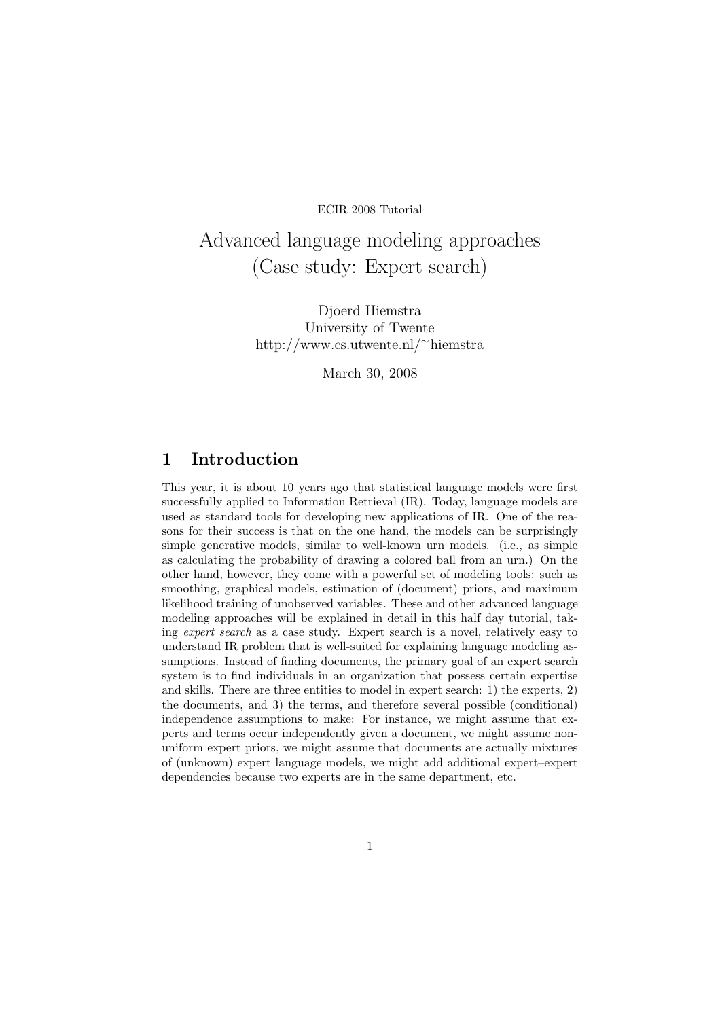ECIR 2008 Tutorial

# Advanced language modeling approaches (Case study: Expert search)

Djoerd Hiemstra University of Twente http://www.cs.utwente.nl/<sup>∼</sup>hiemstra

March 30, 2008

## 1 Introduction

This year, it is about 10 years ago that statistical language models were first successfully applied to Information Retrieval (IR). Today, language models are used as standard tools for developing new applications of IR. One of the reasons for their success is that on the one hand, the models can be surprisingly simple generative models, similar to well-known urn models. (i.e., as simple as calculating the probability of drawing a colored ball from an urn.) On the other hand, however, they come with a powerful set of modeling tools: such as smoothing, graphical models, estimation of (document) priors, and maximum likelihood training of unobserved variables. These and other advanced language modeling approaches will be explained in detail in this half day tutorial, taking expert search as a case study. Expert search is a novel, relatively easy to understand IR problem that is well-suited for explaining language modeling assumptions. Instead of finding documents, the primary goal of an expert search system is to find individuals in an organization that possess certain expertise and skills. There are three entities to model in expert search: 1) the experts, 2) the documents, and 3) the terms, and therefore several possible (conditional) independence assumptions to make: For instance, we might assume that experts and terms occur independently given a document, we might assume nonuniform expert priors, we might assume that documents are actually mixtures of (unknown) expert language models, we might add additional expert–expert dependencies because two experts are in the same department, etc.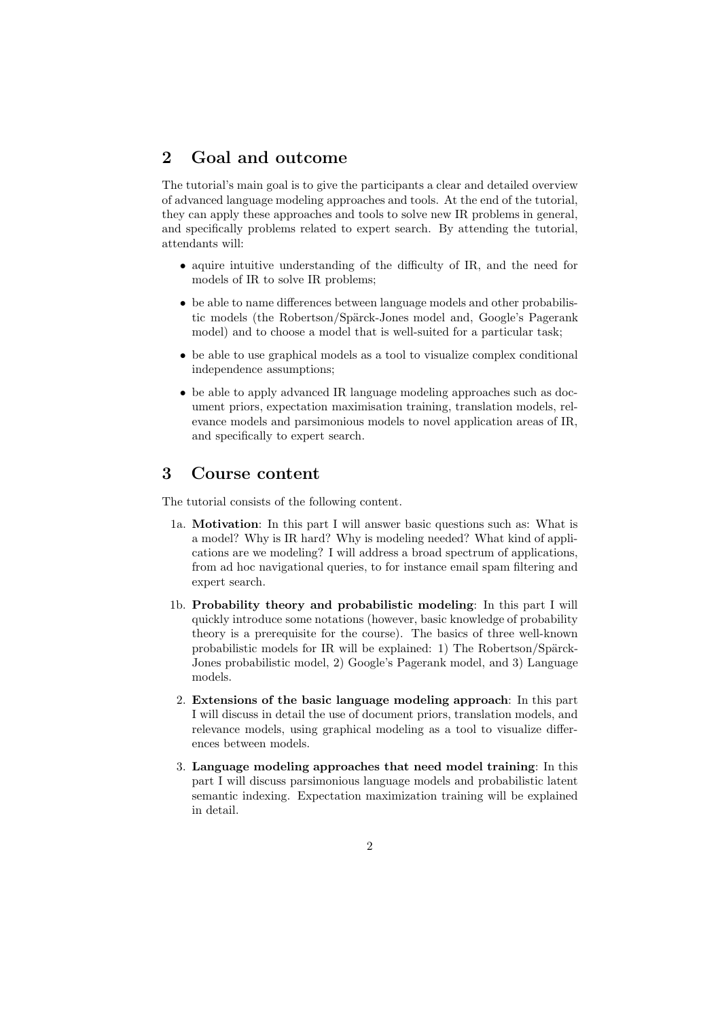### 2 Goal and outcome

The tutorial's main goal is to give the participants a clear and detailed overview of advanced language modeling approaches and tools. At the end of the tutorial, they can apply these approaches and tools to solve new IR problems in general, and specifically problems related to expert search. By attending the tutorial, attendants will:

- aquire intuitive understanding of the difficulty of IR, and the need for models of IR to solve IR problems;
- be able to name differences between language models and other probabilistic models (the Robertson/Spärck-Jones model and, Google's Pagerank model) and to choose a model that is well-suited for a particular task;
- be able to use graphical models as a tool to visualize complex conditional independence assumptions;
- be able to apply advanced IR language modeling approaches such as document priors, expectation maximisation training, translation models, relevance models and parsimonious models to novel application areas of IR, and specifically to expert search.

#### 3 Course content

The tutorial consists of the following content.

- 1a. Motivation: In this part I will answer basic questions such as: What is a model? Why is IR hard? Why is modeling needed? What kind of applications are we modeling? I will address a broad spectrum of applications, from ad hoc navigational queries, to for instance email spam filtering and expert search.
- 1b. Probability theory and probabilistic modeling: In this part I will quickly introduce some notations (however, basic knowledge of probability theory is a prerequisite for the course). The basics of three well-known probabilistic models for IR will be explained: 1) The Robertson/Spärck-Jones probabilistic model, 2) Google's Pagerank model, and 3) Language models.
- 2. Extensions of the basic language modeling approach: In this part I will discuss in detail the use of document priors, translation models, and relevance models, using graphical modeling as a tool to visualize differences between models.
- 3. Language modeling approaches that need model training: In this part I will discuss parsimonious language models and probabilistic latent semantic indexing. Expectation maximization training will be explained in detail.